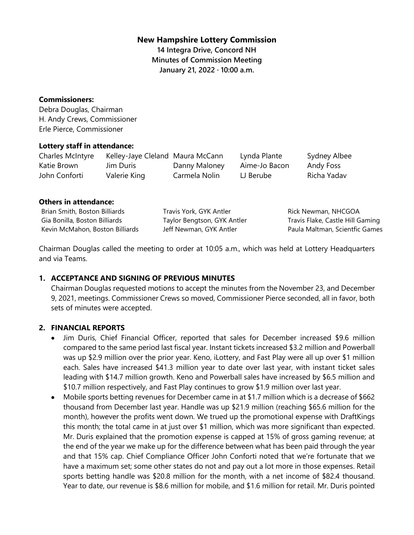### **New Hampshire Lottery Commission**

**14 Integra Drive, Concord NH Minutes of Commission Meeting January 21, 2022 · 10:00 a.m.**

#### **Commissioners:**

Debra Douglas, Chairman H. Andy Crews, Commissioner Erle Pierce, Commissioner

### **Lottery staff in attendance:**

| Charles McIntyre | Kelley-Jaye Cleland Maura McCann |               | Lynda Plante    | Sydney Albee |
|------------------|----------------------------------|---------------|-----------------|--------------|
| Katie Brown      | Jim Duris                        | Danny Maloney | Aime-Jo Bacon   | Andy Foss    |
| John Conforti    | Valerie King                     | Carmela Nolin | $\sqcup$ Berube | Richa Yadav  |

#### **Others in attendance:**

| Brian Smith, Boston Billiards   | Travis York, GYK Antler  |
|---------------------------------|--------------------------|
| Gia Bonilla, Boston Billiards   | Taylor Bengtson, GYK Ant |
| Kevin McMahon, Boston Billiards | Jeff Newman, GYK Antler  |

ork, GYK Antler engtson, GYK Antler

Rick Newman, NHCGOA Travis Flake, Castle Hill Gaming Paula Maltman, Scientfic Games

Chairman Douglas called the meeting to order at 10:05 a.m., which was held at Lottery Headquarters and via Teams.

## **1. ACCEPTANCE AND SIGNING OF PREVIOUS MINUTES**

Chairman Douglas requested motions to accept the minutes from the November 23, and December 9, 2021, meetings. Commissioner Crews so moved, Commissioner Pierce seconded, all in favor, both sets of minutes were accepted.

### **2. FINANCIAL REPORTS**

- Jim Duris, Chief Financial Officer, reported that sales for December increased \$9.6 million compared to the same period last fiscal year. Instant tickets increased \$3.2 million and Powerball was up \$2.9 million over the prior year. Keno, iLottery, and Fast Play were all up over \$1 million each. Sales have increased \$41.3 million year to date over last year, with instant ticket sales leading with \$14.7 million growth. Keno and Powerball sales have increased by \$6.5 million and \$10.7 million respectively, and Fast Play continues to grow \$1.9 million over last year.
- Mobile sports betting revenues for December came in at \$1.7 million which is a decrease of \$662 thousand from December last year. Handle was up \$21.9 million (reaching \$65.6 million for the month), however the profits went down. We trued up the promotional expense with DraftKings this month; the total came in at just over \$1 million, which was more significant than expected. Mr. Duris explained that the promotion expense is capped at 15% of gross gaming revenue; at the end of the year we make up for the difference between what has been paid through the year and that 15% cap. Chief Compliance Officer John Conforti noted that we're fortunate that we have a maximum set; some other states do not and pay out a lot more in those expenses. Retail sports betting handle was \$20.8 million for the month, with a net income of \$82.4 thousand. Year to date, our revenue is \$8.6 million for mobile, and \$1.6 million for retail. Mr. Duris pointed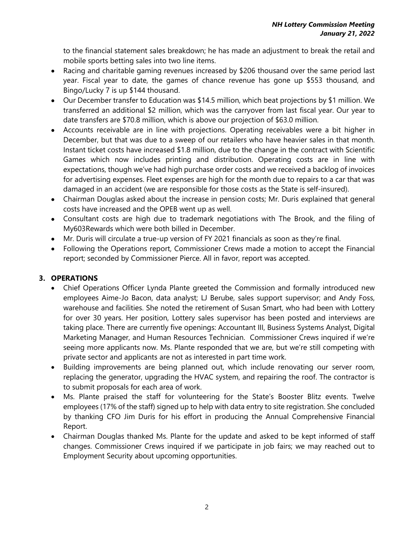to the financial statement sales breakdown; he has made an adjustment to break the retail and mobile sports betting sales into two line items.

- Racing and charitable gaming revenues increased by \$206 thousand over the same period last year. Fiscal year to date, the games of chance revenue has gone up \$553 thousand, and Bingo/Lucky 7 is up \$144 thousand.
- Our December transfer to Education was \$14.5 million, which beat projections by \$1 million. We transferred an additional \$2 million, which was the carryover from last fiscal year. Our year to date transfers are \$70.8 million, which is above our projection of \$63.0 million.
- Accounts receivable are in line with projections. Operating receivables were a bit higher in December, but that was due to a sweep of our retailers who have heavier sales in that month. Instant ticket costs have increased \$1.8 million, due to the change in the contract with Scientific Games which now includes printing and distribution. Operating costs are in line with expectations, though we've had high purchase order costs and we received a backlog of invoices for advertising expenses. Fleet expenses are high for the month due to repairs to a car that was damaged in an accident (we are responsible for those costs as the State is self-insured).
- Chairman Douglas asked about the increase in pension costs; Mr. Duris explained that general costs have increased and the OPEB went up as well.
- Consultant costs are high due to trademark negotiations with The Brook, and the filing of My603Rewards which were both billed in December.
- Mr. Duris will circulate a true-up version of FY 2021 financials as soon as they're final.
- Following the Operations report, Commissioner Crews made a motion to accept the Financial report; seconded by Commissioner Pierce. All in favor, report was accepted.

# **3. OPERATIONS**

- Chief Operations Officer Lynda Plante greeted the Commission and formally introduced new employees Aime-Jo Bacon, data analyst; LJ Berube, sales support supervisor; and Andy Foss, warehouse and facilities. She noted the retirement of Susan Smart, who had been with Lottery for over 30 years. Her position, Lottery sales supervisor has been posted and interviews are taking place. There are currently five openings: Accountant III, Business Systems Analyst, Digital Marketing Manager, and Human Resources Technician. Commissioner Crews inquired if we're seeing more applicants now. Ms. Plante responded that we are, but we're still competing with private sector and applicants are not as interested in part time work.
- Building improvements are being planned out, which include renovating our server room, replacing the generator, upgrading the HVAC system, and repairing the roof. The contractor is to submit proposals for each area of work.
- Ms. Plante praised the staff for volunteering for the State's Booster Blitz events. Twelve employees (17% of the staff) signed up to help with data entry to site registration. She concluded by thanking CFO Jim Duris for his effort in producing the Annual Comprehensive Financial Report.
- Chairman Douglas thanked Ms. Plante for the update and asked to be kept informed of staff changes. Commissioner Crews inquired if we participate in job fairs; we may reached out to Employment Security about upcoming opportunities.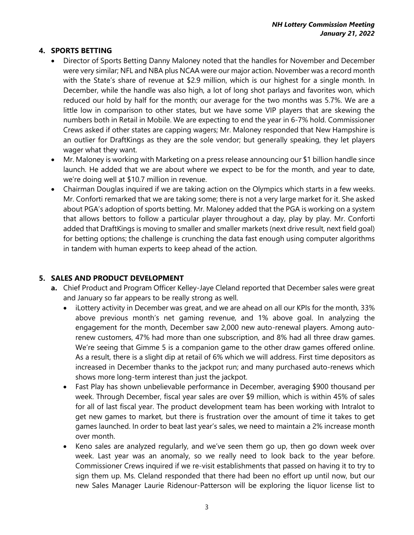## **4. SPORTS BETTING**

- Director of Sports Betting Danny Maloney noted that the handles for November and December were very similar; NFL and NBA plus NCAA were our major action. November was a record month with the State's share of revenue at \$2.9 million, which is our highest for a single month. In December, while the handle was also high, a lot of long shot parlays and favorites won, which reduced our hold by half for the month; our average for the two months was 5.7%. We are a little low in comparison to other states, but we have some VIP players that are skewing the numbers both in Retail in Mobile. We are expecting to end the year in 6-7% hold. Commissioner Crews asked if other states are capping wagers; Mr. Maloney responded that New Hampshire is an outlier for DraftKings as they are the sole vendor; but generally speaking, they let players wager what they want.
- Mr. Maloney is working with Marketing on a press release announcing our \$1 billion handle since launch. He added that we are about where we expect to be for the month, and year to date, we're doing well at \$10.7 million in revenue.
- Chairman Douglas inquired if we are taking action on the Olympics which starts in a few weeks. Mr. Conforti remarked that we are taking some; there is not a very large market for it. She asked about PGA's adoption of sports betting. Mr. Maloney added that the PGA is working on a system that allows bettors to follow a particular player throughout a day, play by play. Mr. Conforti added that DraftKings is moving to smaller and smaller markets (next drive result, next field goal) for betting options; the challenge is crunching the data fast enough using computer algorithms in tandem with human experts to keep ahead of the action.

## **5. SALES AND PRODUCT DEVELOPMENT**

- **a.** Chief Product and Program Officer Kelley-Jaye Cleland reported that December sales were great and January so far appears to be really strong as well.
	- iLottery activity in December was great, and we are ahead on all our KPIs for the month, 33% above previous month's net gaming revenue, and 1% above goal. In analyzing the engagement for the month, December saw 2,000 new auto-renewal players. Among autorenew customers, 47% had more than one subscription, and 8% had all three draw games. We're seeing that Gimme 5 is a companion game to the other draw games offered online. As a result, there is a slight dip at retail of 6% which we will address. First time depositors as increased in December thanks to the jackpot run; and many purchased auto-renews which shows more long-term interest than just the jackpot.
	- Fast Play has shown unbelievable performance in December, averaging \$900 thousand per week. Through December, fiscal year sales are over \$9 million, which is within 45% of sales for all of last fiscal year. The product development team has been working with Intralot to get new games to market, but there is frustration over the amount of time it takes to get games launched. In order to beat last year's sales, we need to maintain a 2% increase month over month.
	- Keno sales are analyzed regularly, and we've seen them go up, then go down week over week. Last year was an anomaly, so we really need to look back to the year before. Commissioner Crews inquired if we re-visit establishments that passed on having it to try to sign them up. Ms. Cleland responded that there had been no effort up until now, but our new Sales Manager Laurie Ridenour-Patterson will be exploring the liquor license list to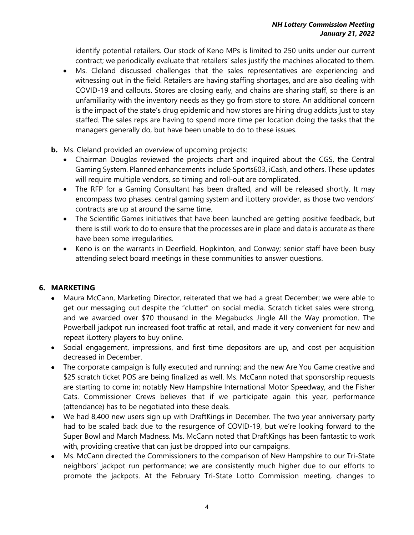identify potential retailers. Our stock of Keno MPs is limited to 250 units under our current contract; we periodically evaluate that retailers' sales justify the machines allocated to them.

- Ms. Cleland discussed challenges that the sales representatives are experiencing and witnessing out in the field. Retailers are having staffing shortages, and are also dealing with COVID-19 and callouts. Stores are closing early, and chains are sharing staff, so there is an unfamiliarity with the inventory needs as they go from store to store. An additional concern is the impact of the state's drug epidemic and how stores are hiring drug addicts just to stay staffed. The sales reps are having to spend more time per location doing the tasks that the managers generally do, but have been unable to do to these issues.
- **b.** Ms. Cleland provided an overview of upcoming projects:
	- Chairman Douglas reviewed the projects chart and inquired about the CGS, the Central Gaming System. Planned enhancements include Sports603, iCash, and others. These updates will require multiple vendors, so timing and roll-out are complicated.
	- The RFP for a Gaming Consultant has been drafted, and will be released shortly. It may encompass two phases: central gaming system and iLottery provider, as those two vendors' contracts are up at around the same time.
	- The Scientific Games initiatives that have been launched are getting positive feedback, but there is still work to do to ensure that the processes are in place and data is accurate as there have been some irregularities.
	- Keno is on the warrants in Deerfield, Hopkinton, and Conway; senior staff have been busy attending select board meetings in these communities to answer questions.

# **6. MARKETING**

- Maura McCann, Marketing Director, reiterated that we had a great December; we were able to get our messaging out despite the "clutter" on social media. Scratch ticket sales were strong, and we awarded over \$70 thousand in the Megabucks Jingle All the Way promotion. The Powerball jackpot run increased foot traffic at retail, and made it very convenient for new and repeat iLottery players to buy online.
- Social engagement, impressions, and first time depositors are up, and cost per acquisition decreased in December.
- The corporate campaign is fully executed and running; and the new Are You Game creative and \$25 scratch ticket POS are being finalized as well. Ms. McCann noted that sponsorship requests are starting to come in; notably New Hampshire International Motor Speedway, and the Fisher Cats. Commissioner Crews believes that if we participate again this year, performance (attendance) has to be negotiated into these deals.
- We had 8,400 new users sign up with DraftKings in December. The two year anniversary party had to be scaled back due to the resurgence of COVID-19, but we're looking forward to the Super Bowl and March Madness. Ms. McCann noted that DraftKings has been fantastic to work with, providing creative that can just be dropped into our campaigns.
- Ms. McCann directed the Commissioners to the comparison of New Hampshire to our Tri-State neighbors' jackpot run performance; we are consistently much higher due to our efforts to promote the jackpots. At the February Tri-State Lotto Commission meeting, changes to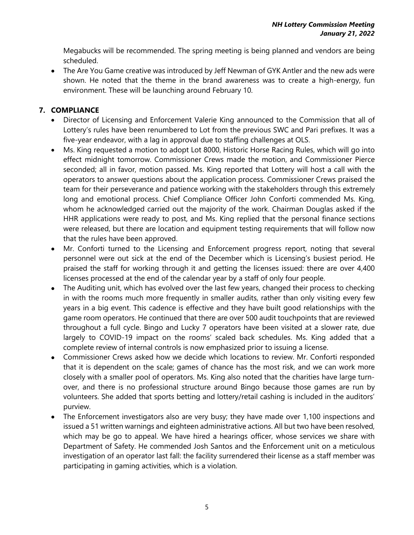Megabucks will be recommended. The spring meeting is being planned and vendors are being scheduled.

• The Are You Game creative was introduced by Jeff Newman of GYK Antler and the new ads were shown. He noted that the theme in the brand awareness was to create a high-energy, fun environment. These will be launching around February 10.

## **7. COMPLIANCE**

- Director of Licensing and Enforcement Valerie King announced to the Commission that all of Lottery's rules have been renumbered to Lot from the previous SWC and Pari prefixes. It was a five-year endeavor, with a lag in approval due to staffing challenges at OLS.
- Ms. King requested a motion to adopt Lot 8000, Historic Horse Racing Rules, which will go into effect midnight tomorrow. Commissioner Crews made the motion, and Commissioner Pierce seconded; all in favor, motion passed. Ms. King reported that Lottery will host a call with the operators to answer questions about the application process. Commissioner Crews praised the team for their perseverance and patience working with the stakeholders through this extremely long and emotional process. Chief Compliance Officer John Conforti commended Ms. King, whom he acknowledged carried out the majority of the work. Chairman Douglas asked if the HHR applications were ready to post, and Ms. King replied that the personal finance sections were released, but there are location and equipment testing requirements that will follow now that the rules have been approved.
- Mr. Conforti turned to the Licensing and Enforcement progress report, noting that several personnel were out sick at the end of the December which is Licensing's busiest period. He praised the staff for working through it and getting the licenses issued: there are over 4,400 licenses processed at the end of the calendar year by a staff of only four people.
- The Auditing unit, which has evolved over the last few years, changed their process to checking in with the rooms much more frequently in smaller audits, rather than only visiting every few years in a big event. This cadence is effective and they have built good relationships with the game room operators. He continued that there are over 500 audit touchpoints that are reviewed throughout a full cycle. Bingo and Lucky 7 operators have been visited at a slower rate, due largely to COVID-19 impact on the rooms' scaled back schedules. Ms. King added that a complete review of internal controls is now emphasized prior to issuing a license.
- Commissioner Crews asked how we decide which locations to review. Mr. Conforti responded that it is dependent on the scale; games of chance has the most risk, and we can work more closely with a smaller pool of operators. Ms. King also noted that the charities have large turnover, and there is no professional structure around Bingo because those games are run by volunteers. She added that sports betting and lottery/retail cashing is included in the auditors' purview.
- The Enforcement investigators also are very busy; they have made over 1,100 inspections and issued a 51 written warnings and eighteen administrative actions. All but two have been resolved, which may be go to appeal. We have hired a hearings officer, whose services we share with Department of Safety. He commended Josh Santos and the Enforcement unit on a meticulous investigation of an operator last fall: the facility surrendered their license as a staff member was participating in gaming activities, which is a violation.